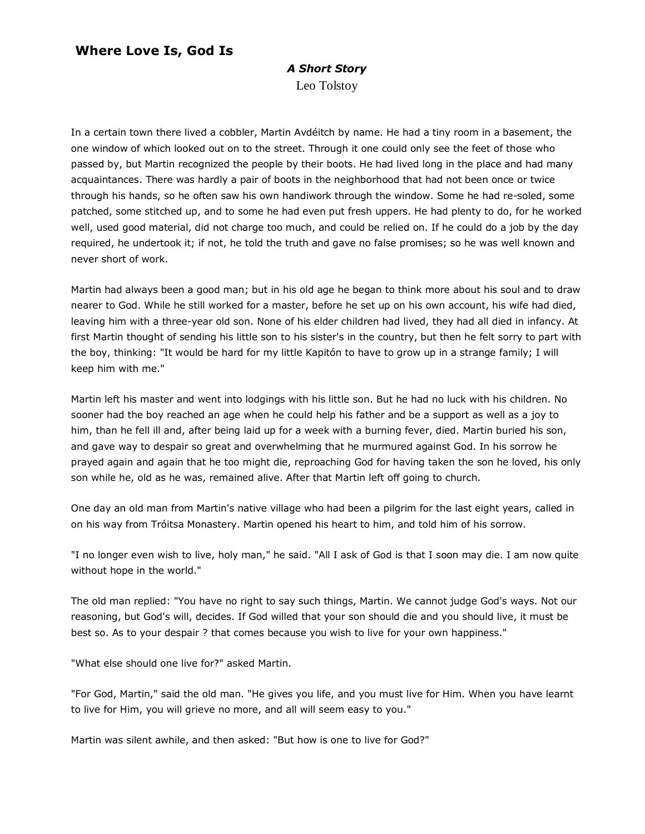## Where Love Is, God Is

## A Short Story

Leo Tolstoy

In a certain town there lived a cobbler, Martin Avdéitch by name. He had a tiny room in a basement, the one window of which looked out on to the street. Through it one could only see the feet of those who passed by, but Martin recognized the people by their boots. He had lived long in the place and had many acquaintances. There was hardly a pair of boots in the neighborhood that had not been once or twice through his hands, so he often saw his own handiwork through the window. Some he had re-soled, some patched, some stitched up, and to some he had even put fresh uppers. He had plenty to do, for he worked well, used good material, did not charge too much, and could be relied on. If he could do a job by the day required, he undertook it; if not, he told the truth and gave no false promises; so he was well known and never short of work.

Martin had always been a good man; but in his old age he began to think more about his soul and to draw nearer to God. While he still worked for a master, before he set up on his own account, his wife had died, leaving him with a three-year old son. None of his elder children had lived, they had all died in infancy. At first Martin thought of sending his little son to his sister's in the country, but then he felt sorry to part with the boy, thinking: "It would be hard for my little Kapitón to have to grow up in a strange family; I will keep him with me."

Martin left his master and went into lodgings with his little son. But he had no luck with his children. No sooner had the boy reached an age when he could help his father and be a support as well as a joy to him, than he fell ill and, after being laid up for a week with a burning fever, died. Martin buried his son, and gave way to despair so great and overwhelming that he murmured against God. In his sorrow he prayed again and again that he too might die, reproaching God for having taken the son he loved, his only son while he, old as he was, remained alive. After that Martin left off going to church.

One day an old man from Martin's native village who had been a pilgrim for the last eight years, called in on his way from Tróitsa Monastery. Martin opened his heart to him, and told him of his sorrow.

"I no longer even wish to live, holy man," he said. "All I ask of God is that I soon may die. I am now quite without hope in the world."

The old man replied: "You have no right to say such things, Martin. We cannot judge God's ways. Not our reasoning, but God's will, decides. If God willed that your son should die and you should live, it must be best so. As to your despair ? that comes because you wish to live for your own happiness."

"What else should one live for?" asked Martin.

"For God, Martin," said the old man. "He gives you life, and you must live for Him. When you have learnt to live for Him, you will grieve no more, and all will seem easy to you."

Martin was silent awhile, and then asked: "But how is one to live for God?"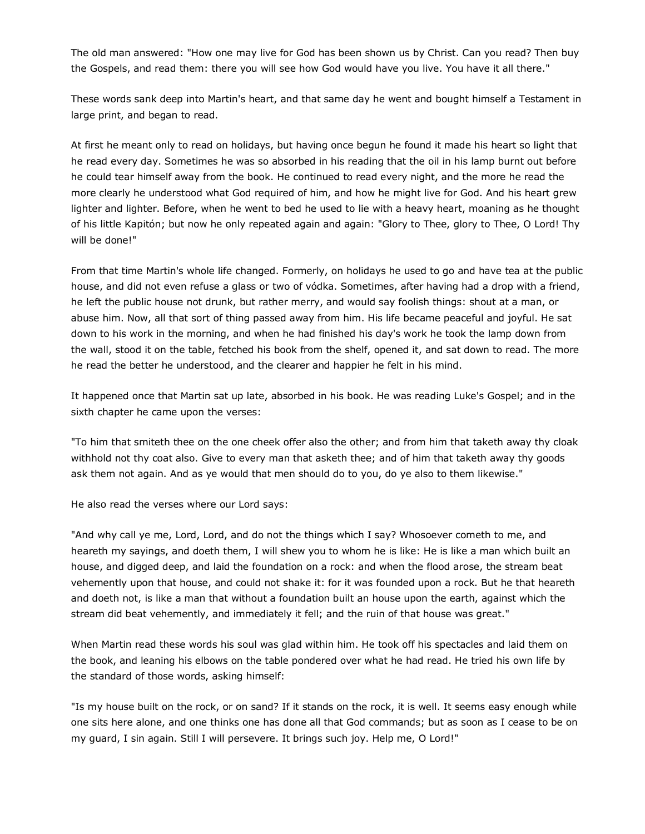The old man answered: "How one may live for God has been shown us by Christ. Can you read? Then buy the Gospels, and read them: there you will see how God would have you live. You have it all there."

These words sank deep into Martin's heart, and that same day he went and bought himself a Testament in large print, and began to read.

At first he meant only to read on holidays, but having once begun he found it made his heart so light that he read every day. Sometimes he was so absorbed in his reading that the oil in his lamp burnt out before he could tear himself away from the book. He continued to read every night, and the more he read the more clearly he understood what God required of him, and how he might live for God. And his heart grew lighter and lighter. Before, when he went to bed he used to lie with a heavy heart, moaning as he thought of his little Kapitón; but now he only repeated again and again: "Glory to Thee, glory to Thee, O Lord! Thy will be done!"

From that time Martin's whole life changed. Formerly, on holidays he used to go and have tea at the public house, and did not even refuse a glass or two of vódka. Sometimes, after having had a drop with a friend, he left the public house not drunk, but rather merry, and would say foolish things: shout at a man, or abuse him. Now, all that sort of thing passed away from him. His life became peaceful and joyful. He sat down to his work in the morning, and when he had finished his day's work he took the lamp down from the wall, stood it on the table, fetched his book from the shelf, opened it, and sat down to read. The more he read the better he understood, and the clearer and happier he felt in his mind.

It happened once that Martin sat up late, absorbed in his book. He was reading Luke's Gospel; and in the sixth chapter he came upon the verses:

"To him that smiteth thee on the one cheek offer also the other; and from him that taketh away thy cloak withhold not thy coat also. Give to every man that asketh thee; and of him that taketh away thy goods ask them not again. And as ye would that men should do to you, do ye also to them likewise."

He also read the verses where our Lord says:

"And why call ye me, Lord, Lord, and do not the things which I say? Whosoever cometh to me, and heareth my sayings, and doeth them, I will shew you to whom he is like: He is like a man which built an house, and digged deep, and laid the foundation on a rock: and when the flood arose, the stream beat vehemently upon that house, and could not shake it: for it was founded upon a rock. But he that heareth and doeth not, is like a man that without a foundation built an house upon the earth, against which the stream did beat vehemently, and immediately it fell; and the ruin of that house was great."

When Martin read these words his soul was glad within him. He took off his spectacles and laid them on the book, and leaning his elbows on the table pondered over what he had read. He tried his own life by the standard of those words, asking himself:

"Is my house built on the rock, or on sand? If it stands on the rock, it is well. It seems easy enough while one sits here alone, and one thinks one has done all that God commands; but as soon as I cease to be on my guard, I sin again. Still I will persevere. It brings such joy. Help me, O Lord!"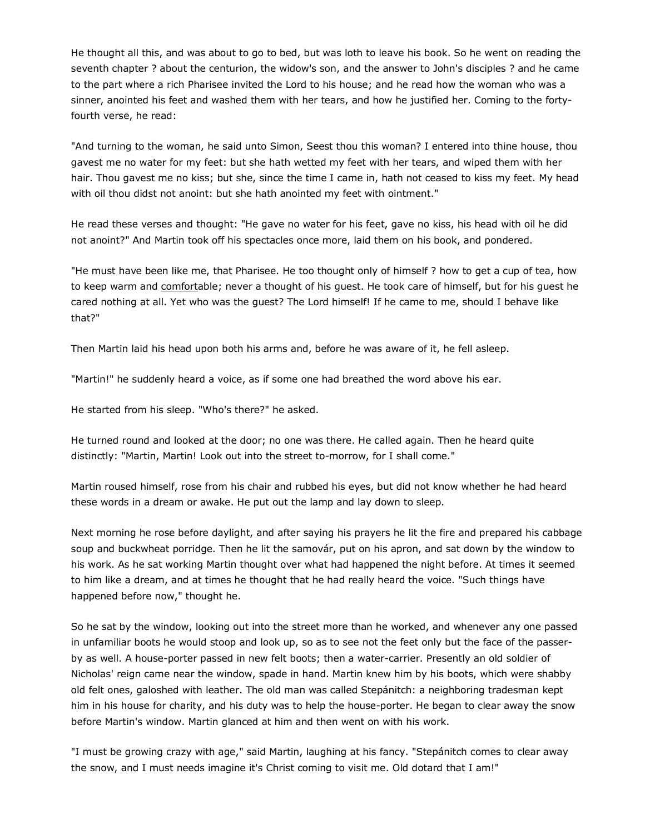He thought all this, and was about to go to bed, but was loth to leave his book. So he went on reading the seventh chapter ? about the centurion, the widow's son, and the answer to John's disciples ? and he came to the part where a rich Pharisee invited the Lord to his house; and he read how the woman who was a sinner, anointed his feet and washed them with her tears, and how he justified her. Coming to the fortyfourth verse, he read:

"And turning to the woman, he said unto Simon, Seest thou this woman? I entered into thine house, thou gavest me no water for my feet: but she hath wetted my feet with her tears, and wiped them with her hair. Thou gavest me no kiss; but she, since the time I came in, hath not ceased to kiss my feet. My head with oil thou didst not anoint: but she hath anointed my feet with ointment."

He read these verses and thought: "He gave no water for his feet, gave no kiss, his head with oil he did not anoint?" And Martin took off his spectacles once more, laid them on his book, and pondered.

"He must have been like me, that Pharisee. He too thought only of himself ? how to get a cup of tea, how to keep warm and comfortable; never a thought of his guest. He took care of himself, but for his guest he cared nothing at all. Yet who was the guest? The Lord himself! If he came to me, should I behave like that?"

Then Martin laid his head upon both his arms and, before he was aware of it, he fell asleep.

"Martin!" he suddenly heard a voice, as if some one had breathed the word above his ear.

He started from his sleep. "Who's there?" he asked.

He turned round and looked at the door; no one was there. He called again. Then he heard quite distinctly: "Martin, Martin! Look out into the street to-morrow, for I shall come."

Martin roused himself, rose from his chair and rubbed his eyes, but did not know whether he had heard these words in a dream or awake. He put out the lamp and lay down to sleep.

Next morning he rose before daylight, and after saying his prayers he lit the fire and prepared his cabbage soup and buckwheat porridge. Then he lit the samovár, put on his apron, and sat down by the window to his work. As he sat working Martin thought over what had happened the night before. At times it seemed to him like a dream, and at times he thought that he had really heard the voice. "Such things have happened before now," thought he.

So he sat by the window, looking out into the street more than he worked, and whenever any one passed in unfamiliar boots he would stoop and look up, so as to see not the feet only but the face of the passerby as well. A house-porter passed in new felt boots; then a water-carrier. Presently an old soldier of Nicholas' reign came near the window, spade in hand. Martin knew him by his boots, which were shabby old felt ones, galoshed with leather. The old man was called Stepánitch: a neighboring tradesman kept him in his house for charity, and his duty was to help the house-porter. He began to clear away the snow before Martin's window. Martin glanced at him and then went on with his work.

"I must be growing crazy with age," said Martin, laughing at his fancy. "Stepánitch comes to clear away the snow, and I must needs imagine it's Christ coming to visit me. Old dotard that I am!"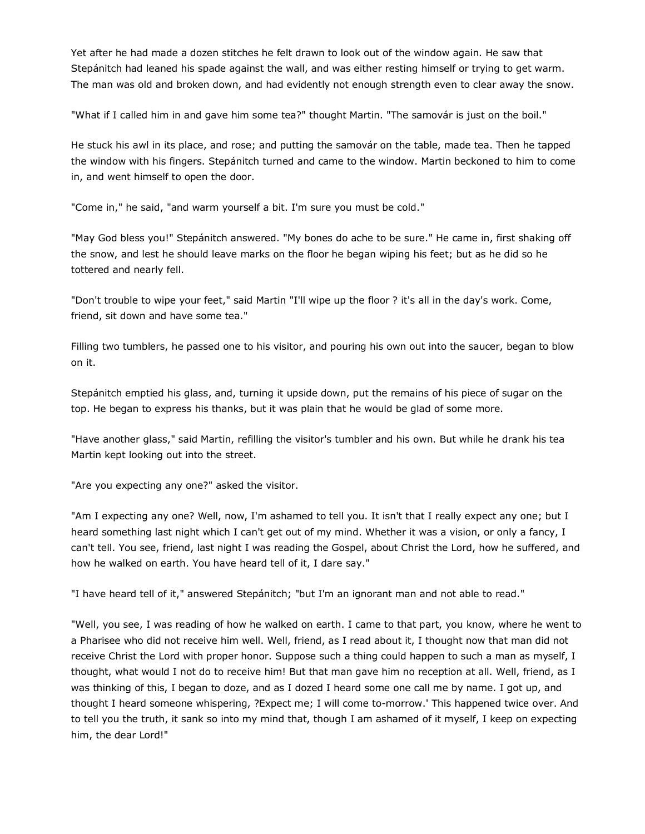Yet after he had made a dozen stitches he felt drawn to look out of the window again. He saw that Stepánitch had leaned his spade against the wall, and was either resting himself or trying to get warm. The man was old and broken down, and had evidently not enough strength even to clear away the snow.

"What if I called him in and gave him some tea?" thought Martin. "The samovár is just on the boil."

He stuck his awl in its place, and rose; and putting the samovár on the table, made tea. Then he tapped the window with his fingers. Stepánitch turned and came to the window. Martin beckoned to him to come in, and went himself to open the door.

"Come in," he said, "and warm yourself a bit. I'm sure you must be cold."

"May God bless you!" Stepánitch answered. "My bones do ache to be sure." He came in, first shaking off the snow, and lest he should leave marks on the floor he began wiping his feet; but as he did so he tottered and nearly fell.

"Don't trouble to wipe your feet," said Martin "I'll wipe up the floor ? it's all in the day's work. Come, friend, sit down and have some tea."

Filling two tumblers, he passed one to his visitor, and pouring his own out into the saucer, began to blow on it.

Stepánitch emptied his glass, and, turning it upside down, put the remains of his piece of sugar on the top. He began to express his thanks, but it was plain that he would be glad of some more.

"Have another glass," said Martin, refilling the visitor's tumbler and his own. But while he drank his tea Martin kept looking out into the street.

"Are you expecting any one?" asked the visitor.

"Am I expecting any one? Well, now, I'm ashamed to tell you. It isn't that I really expect any one; but I heard something last night which I can't get out of my mind. Whether it was a vision, or only a fancy, I can't tell. You see, friend, last night I was reading the Gospel, about Christ the Lord, how he suffered, and how he walked on earth. You have heard tell of it, I dare say."

"I have heard tell of it," answered Stepánitch; "but I'm an ignorant man and not able to read."

"Well, you see, I was reading of how he walked on earth. I came to that part, you know, where he went to a Pharisee who did not receive him well. Well, friend, as I read about it, I thought now that man did not receive Christ the Lord with proper honor. Suppose such a thing could happen to such a man as myself, I thought, what would I not do to receive him! But that man gave him no reception at all. Well, friend, as I was thinking of this, I began to doze, and as I dozed I heard some one call me by name. I got up, and thought I heard someone whispering, ?Expect me; I will come to-morrow.' This happened twice over. And to tell you the truth, it sank so into my mind that, though I am ashamed of it myself, I keep on expecting him, the dear Lord!"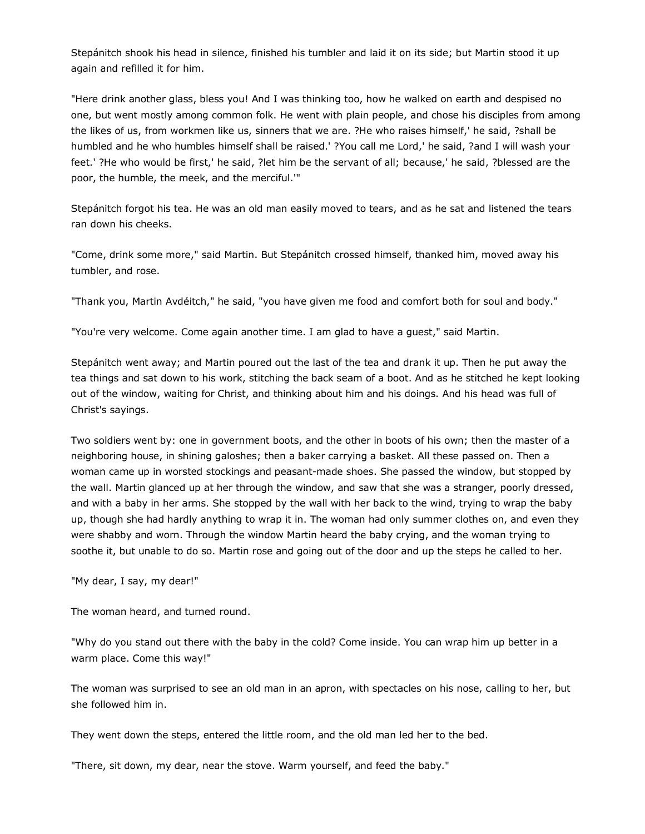Stepánitch shook his head in silence, finished his tumbler and laid it on its side; but Martin stood it up again and refilled it for him.

"Here drink another glass, bless you! And I was thinking too, how he walked on earth and despised no one, but went mostly among common folk. He went with plain people, and chose his disciples from among the likes of us, from workmen like us, sinners that we are. ?He who raises himself,' he said, ?shall be humbled and he who humbles himself shall be raised.' ?You call me Lord,' he said, ?and I will wash your feet.' ?He who would be first,' he said, ?let him be the servant of all; because,' he said, ?blessed are the poor, the humble, the meek, and the merciful.'"

Stepánitch forgot his tea. He was an old man easily moved to tears, and as he sat and listened the tears ran down his cheeks.

"Come, drink some more," said Martin. But Stepánitch crossed himself, thanked him, moved away his tumbler, and rose.

"Thank you, Martin Avdéitch," he said, "you have given me food and comfort both for soul and body."

"You're very welcome. Come again another time. I am glad to have a guest," said Martin.

Stepánitch went away; and Martin poured out the last of the tea and drank it up. Then he put away the tea things and sat down to his work, stitching the back seam of a boot. And as he stitched he kept looking out of the window, waiting for Christ, and thinking about him and his doings. And his head was full of Christ's sayings.

Two soldiers went by: one in government boots, and the other in boots of his own; then the master of a neighboring house, in shining galoshes; then a baker carrying a basket. All these passed on. Then a woman came up in worsted stockings and peasant-made shoes. She passed the window, but stopped by the wall. Martin glanced up at her through the window, and saw that she was a stranger, poorly dressed, and with a baby in her arms. She stopped by the wall with her back to the wind, trying to wrap the baby up, though she had hardly anything to wrap it in. The woman had only summer clothes on, and even they were shabby and worn. Through the window Martin heard the baby crying, and the woman trying to soothe it, but unable to do so. Martin rose and going out of the door and up the steps he called to her.

"My dear, I say, my dear!"

The woman heard, and turned round.

"Why do you stand out there with the baby in the cold? Come inside. You can wrap him up better in a warm place. Come this way!"

The woman was surprised to see an old man in an apron, with spectacles on his nose, calling to her, but she followed him in.

They went down the steps, entered the little room, and the old man led her to the bed.

"There, sit down, my dear, near the stove. Warm yourself, and feed the baby."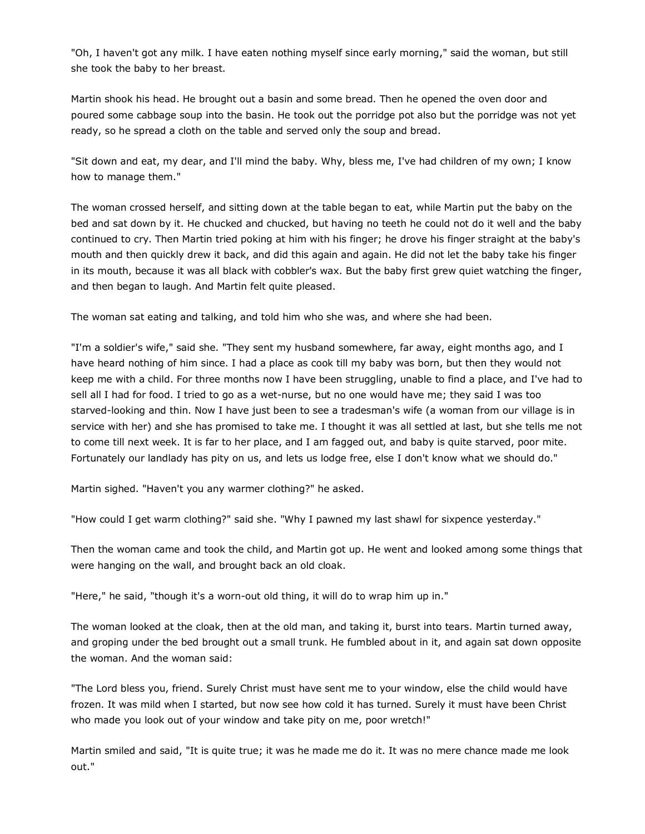"Oh, I haven't got any milk. I have eaten nothing myself since early morning," said the woman, but still she took the baby to her breast.

Martin shook his head. He brought out a basin and some bread. Then he opened the oven door and poured some cabbage soup into the basin. He took out the porridge pot also but the porridge was not yet ready, so he spread a cloth on the table and served only the soup and bread.

"Sit down and eat, my dear, and I'll mind the baby. Why, bless me, I've had children of my own; I know how to manage them."

The woman crossed herself, and sitting down at the table began to eat, while Martin put the baby on the bed and sat down by it. He chucked and chucked, but having no teeth he could not do it well and the baby continued to cry. Then Martin tried poking at him with his finger; he drove his finger straight at the baby's mouth and then quickly drew it back, and did this again and again. He did not let the baby take his finger in its mouth, because it was all black with cobbler's wax. But the baby first grew quiet watching the finger, and then began to laugh. And Martin felt quite pleased.

The woman sat eating and talking, and told him who she was, and where she had been.

"I'm a soldier's wife," said she. "They sent my husband somewhere, far away, eight months ago, and I have heard nothing of him since. I had a place as cook till my baby was born, but then they would not keep me with a child. For three months now I have been struggling, unable to find a place, and I've had to sell all I had for food. I tried to go as a wet-nurse, but no one would have me; they said I was too starved-looking and thin. Now I have just been to see a tradesman's wife (a woman from our village is in service with her) and she has promised to take me. I thought it was all settled at last, but she tells me not to come till next week. It is far to her place, and I am fagged out, and baby is quite starved, poor mite. Fortunately our landlady has pity on us, and lets us lodge free, else I don't know what we should do."

Martin sighed. "Haven't you any warmer clothing?" he asked.

"How could I get warm clothing?" said she. "Why I pawned my last shawl for sixpence yesterday."

Then the woman came and took the child, and Martin got up. He went and looked among some things that were hanging on the wall, and brought back an old cloak.

"Here," he said, "though it's a worn-out old thing, it will do to wrap him up in."

The woman looked at the cloak, then at the old man, and taking it, burst into tears. Martin turned away, and groping under the bed brought out a small trunk. He fumbled about in it, and again sat down opposite the woman. And the woman said:

"The Lord bless you, friend. Surely Christ must have sent me to your window, else the child would have frozen. It was mild when I started, but now see how cold it has turned. Surely it must have been Christ who made you look out of your window and take pity on me, poor wretch!"

Martin smiled and said, "It is quite true; it was he made me do it. It was no mere chance made me look out."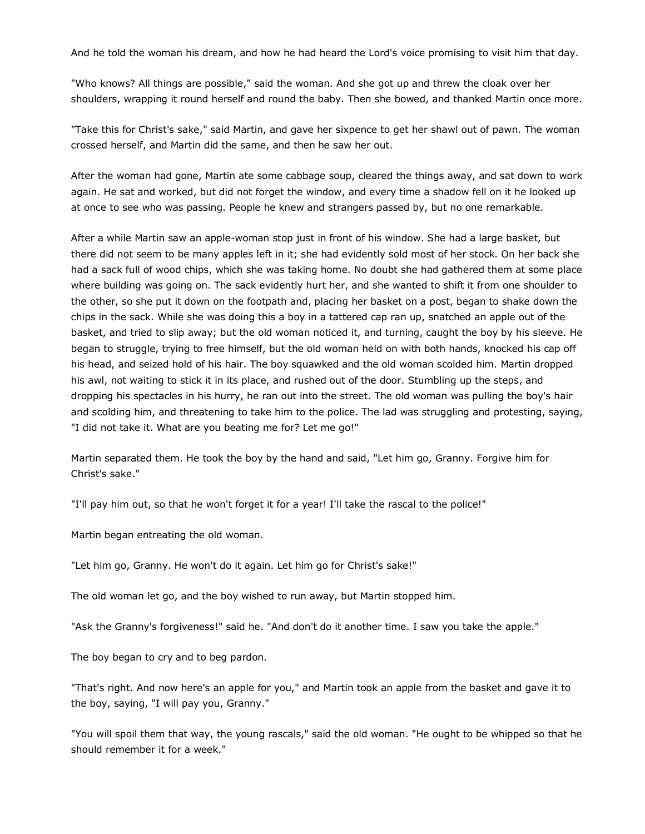And he told the woman his dream, and how he had heard the Lord's voice promising to visit him that day.

"Who knows? All things are possible," said the woman. And she got up and threw the cloak over her shoulders, wrapping it round herself and round the baby. Then she bowed, and thanked Martin once more.

"Take this for Christ's sake," said Martin, and gave her sixpence to get her shawl out of pawn. The woman crossed herself, and Martin did the same, and then he saw her out.

After the woman had gone, Martin ate some cabbage soup, cleared the things away, and sat down to work again. He sat and worked, but did not forget the window, and every time a shadow fell on it he looked up at once to see who was passing. People he knew and strangers passed by, but no one remarkable.

After a while Martin saw an apple-woman stop just in front of his window. She had a large basket, but there did not seem to be many apples left in it; she had evidently sold most of her stock. On her back she had a sack full of wood chips, which she was taking home. No doubt she had gathered them at some place where building was going on. The sack evidently hurt her, and she wanted to shift it from one shoulder to the other, so she put it down on the footpath and, placing her basket on a post, began to shake down the chips in the sack. While she was doing this a boy in a tattered cap ran up, snatched an apple out of the basket, and tried to slip away; but the old woman noticed it, and turning, caught the boy by his sleeve. He began to struggle, trying to free himself, but the old woman held on with both hands, knocked his cap off his head, and seized hold of his hair. The boy squawked and the old woman scolded him. Martin dropped his awl, not waiting to stick it in its place, and rushed out of the door. Stumbling up the steps, and dropping his spectacles in his hurry, he ran out into the street. The old woman was pulling the boy's hair and scolding him, and threatening to take him to the police. The lad was struggling and protesting, saying, "I did not take it. What are you beating me for? Let me go!"

Martin separated them. He took the boy by the hand and said, "Let him go, Granny. Forgive him for Christ's sake."

"I'll pay him out, so that he won't forget it for a year! I'll take the rascal to the police!"

Martin began entreating the old woman.

"Let him go, Granny. He won't do it again. Let him go for Christ's sake!"

The old woman let go, and the boy wished to run away, but Martin stopped him.

"Ask the Granny's forgiveness!" said he. "And don't do it another time. I saw you take the apple."

The boy began to cry and to beg pardon.

"That's right. And now here's an apple for you," and Martin took an apple from the basket and gave it to the boy, saying, "I will pay you, Granny."

"You will spoil them that way, the young rascals," said the old woman. "He ought to be whipped so that he should remember it for a week."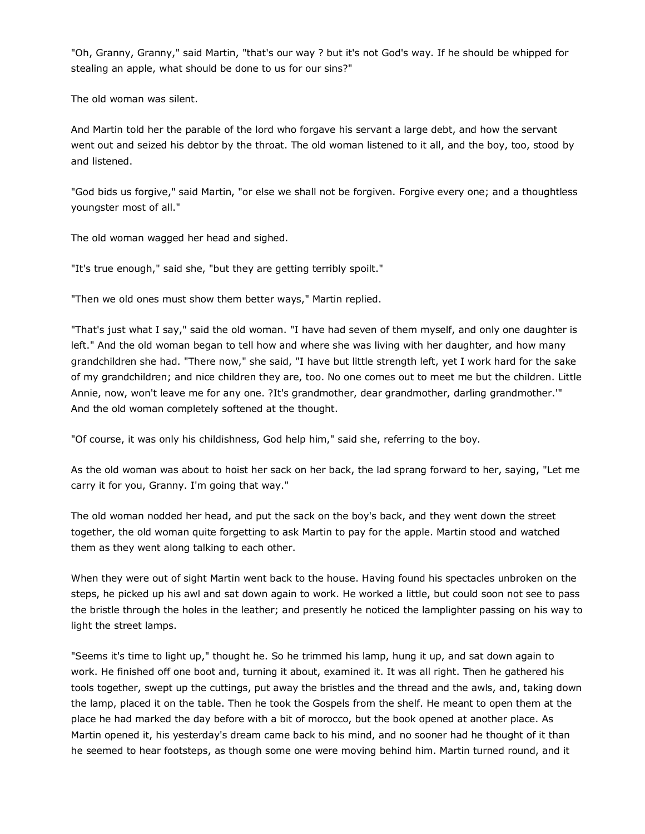"Oh, Granny, Granny," said Martin, "that's our way ? but it's not God's way. If he should be whipped for stealing an apple, what should be done to us for our sins?"

The old woman was silent.

And Martin told her the parable of the lord who forgave his servant a large debt, and how the servant went out and seized his debtor by the throat. The old woman listened to it all, and the boy, too, stood by and listened.

"God bids us forgive," said Martin, "or else we shall not be forgiven. Forgive every one; and a thoughtless youngster most of all."

The old woman wagged her head and sighed.

"It's true enough," said she, "but they are getting terribly spoilt."

"Then we old ones must show them better ways," Martin replied.

"That's just what I say," said the old woman. "I have had seven of them myself, and only one daughter is left." And the old woman began to tell how and where she was living with her daughter, and how many grandchildren she had. "There now," she said, "I have but little strength left, yet I work hard for the sake of my grandchildren; and nice children they are, too. No one comes out to meet me but the children. Little Annie, now, won't leave me for any one. ?It's grandmother, dear grandmother, darling grandmother.'" And the old woman completely softened at the thought.

"Of course, it was only his childishness, God help him," said she, referring to the boy.

As the old woman was about to hoist her sack on her back, the lad sprang forward to her, saying, "Let me carry it for you, Granny. I'm going that way."

The old woman nodded her head, and put the sack on the boy's back, and they went down the street together, the old woman quite forgetting to ask Martin to pay for the apple. Martin stood and watched them as they went along talking to each other.

When they were out of sight Martin went back to the house. Having found his spectacles unbroken on the steps, he picked up his awl and sat down again to work. He worked a little, but could soon not see to pass the bristle through the holes in the leather; and presently he noticed the lamplighter passing on his way to light the street lamps.

"Seems it's time to light up," thought he. So he trimmed his lamp, hung it up, and sat down again to work. He finished off one boot and, turning it about, examined it. It was all right. Then he gathered his tools together, swept up the cuttings, put away the bristles and the thread and the awls, and, taking down the lamp, placed it on the table. Then he took the Gospels from the shelf. He meant to open them at the place he had marked the day before with a bit of morocco, but the book opened at another place. As Martin opened it, his yesterday's dream came back to his mind, and no sooner had he thought of it than he seemed to hear footsteps, as though some one were moving behind him. Martin turned round, and it